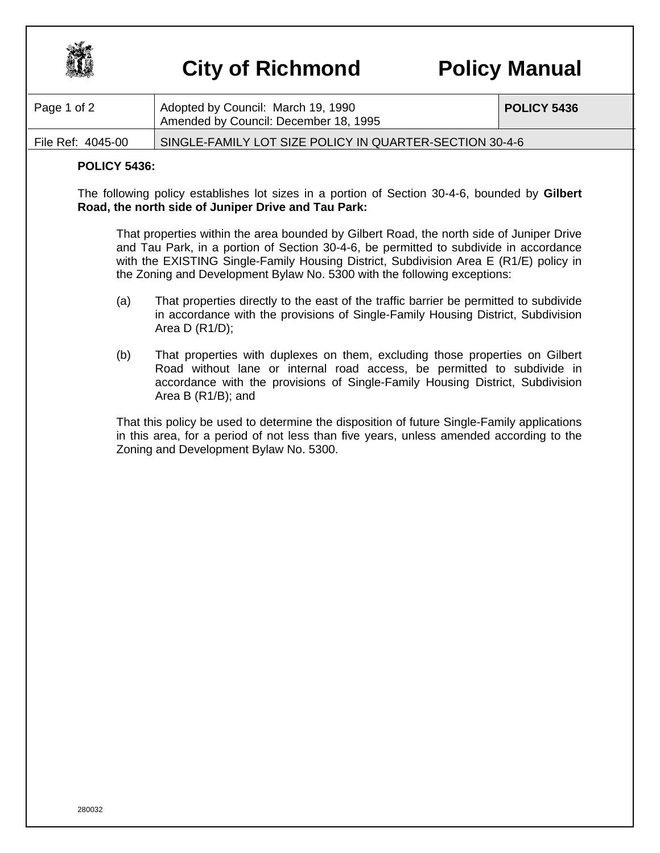

## **City of Richmond Policy Manual**

| Page 1 of 2       | Adopted by Council: March 19, 1990<br>Amended by Council: December 18, 1995 | POLICY 5436 |
|-------------------|-----------------------------------------------------------------------------|-------------|
| File Ref: 4045-00 | SINGLE-FAMILY LOT SIZE POLICY IN QUARTER-SECTION 30-4-6                     |             |

## **POLICY 5436:**

The following policy establishes lot sizes in a portion of Section 30-4-6, bounded by **Gilbert Road, the north side of Juniper Drive and Tau Park:**

That properties within the area bounded by Gilbert Road, the north side of Juniper Drive and Tau Park, in a portion of Section 30-4-6, be permitted to subdivide in accordance with the EXISTING Single-Family Housing District, Subdivision Area E (R1/E) policy in the Zoning and Development Bylaw No. 5300 with the following exceptions:

- (a) That properties directly to the east of the traffic barrier be permitted to subdivide in accordance with the provisions of Single-Family Housing District, Subdivision Area D (R1/D);
- (b) That properties with duplexes on them, excluding those properties on Gilbert Road without lane or internal road access, be permitted to subdivide in accordance with the provisions of Single-Family Housing District, Subdivision Area B (R1/B); and

That this policy be used to determine the disposition of future Single-Family applications in this area, for a period of not less than five years, unless amended according to the Zoning and Development Bylaw No. 5300.